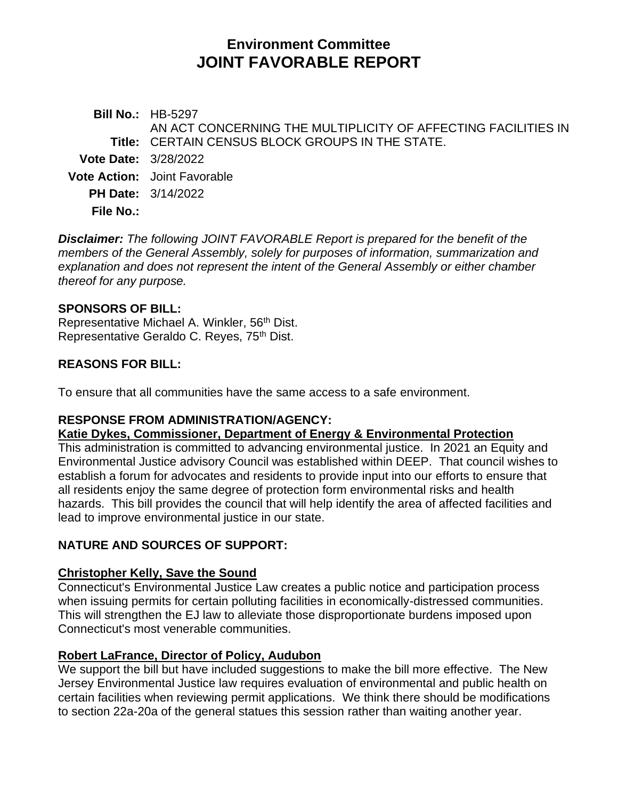# **Environment Committee JOINT FAVORABLE REPORT**

**Bill No.:** HB-5297 **Title:** CERTAIN CENSUS BLOCK GROUPS IN THE STATE. AN ACT CONCERNING THE MULTIPLICITY OF AFFECTING FACILITIES IN **Vote Date:** 3/28/2022 **Vote Action:** Joint Favorable **PH Date:** 3/14/2022 **File No.:**

*Disclaimer: The following JOINT FAVORABLE Report is prepared for the benefit of the members of the General Assembly, solely for purposes of information, summarization and explanation and does not represent the intent of the General Assembly or either chamber thereof for any purpose.*

### **SPONSORS OF BILL:**

Representative Michael A. Winkler, 56<sup>th</sup> Dist. Representative Geraldo C. Reyes, 75<sup>th</sup> Dist.

### **REASONS FOR BILL:**

To ensure that all communities have the same access to a safe environment.

### **RESPONSE FROM ADMINISTRATION/AGENCY:**

#### **Katie Dykes, Commissioner, Department of Energy & Environmental Protection**

This administration is committed to advancing environmental justice. In 2021 an Equity and Environmental Justice advisory Council was established within DEEP. That council wishes to establish a forum for advocates and residents to provide input into our efforts to ensure that all residents enjoy the same degree of protection form environmental risks and health hazards. This bill provides the council that will help identify the area of affected facilities and lead to improve environmental justice in our state.

### **NATURE AND SOURCES OF SUPPORT:**

### **Christopher Kelly, Save the Sound**

Connecticut's Environmental Justice Law creates a public notice and participation process when issuing permits for certain polluting facilities in economically-distressed communities. This will strengthen the EJ law to alleviate those disproportionate burdens imposed upon Connecticut's most venerable communities.

### **Robert LaFrance, Director of Policy, Audubon**

We support the bill but have included suggestions to make the bill more effective. The New Jersey Environmental Justice law requires evaluation of environmental and public health on certain facilities when reviewing permit applications. We think there should be modifications to section 22a-20a of the general statues this session rather than waiting another year.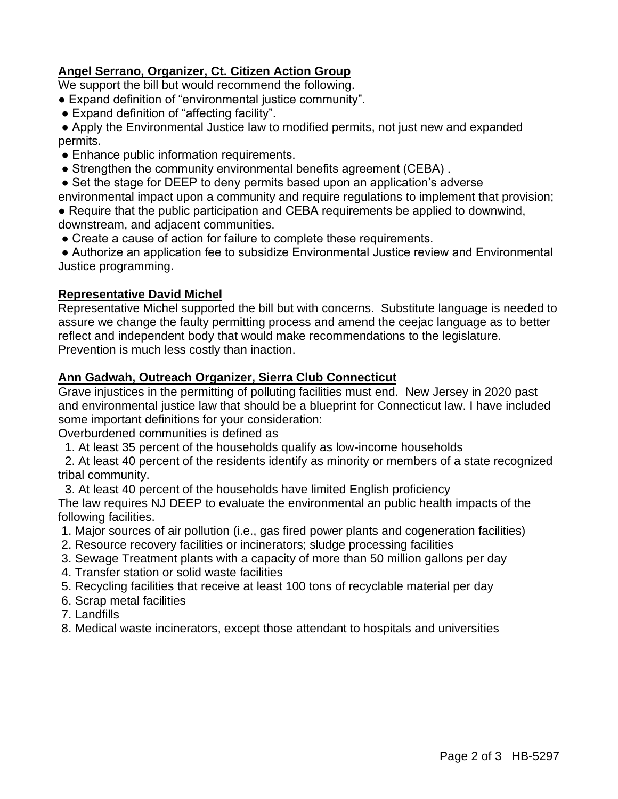## **Angel Serrano, Organizer, Ct. Citizen Action Group**

We support the bill but would recommend the following.

- Expand definition of "environmental justice community".
- Expand definition of "affecting facility".

● Apply the Environmental Justice law to modified permits, not just new and expanded permits.

- Enhance public information requirements.
- Strengthen the community environmental benefits agreement (CEBA).
- Set the stage for DEEP to deny permits based upon an application's adverse
- environmental impact upon a community and require regulations to implement that provision;

● Require that the public participation and CEBA requirements be applied to downwind, downstream, and adjacent communities.

● Create a cause of action for failure to complete these requirements.

● Authorize an application fee to subsidize Environmental Justice review and Environmental Justice programming.

### **Representative David Michel**

Representative Michel supported the bill but with concerns. Substitute language is needed to assure we change the faulty permitting process and amend the ceejac language as to better reflect and independent body that would make recommendations to the legislature. Prevention is much less costly than inaction.

### **Ann Gadwah, Outreach Organizer, Sierra Club Connecticut**

Grave injustices in the permitting of polluting facilities must end. New Jersey in 2020 past and environmental justice law that should be a blueprint for Connecticut law. I have included some important definitions for your consideration:

Overburdened communities is defined as

1. At least 35 percent of the households qualify as low-income households

 2. At least 40 percent of the residents identify as minority or members of a state recognized tribal community.

 3. At least 40 percent of the households have limited English proficiency The law requires NJ DEEP to evaluate the environmental an public health impacts of the following facilities.

- 1. Major sources of air pollution (i.e., gas fired power plants and cogeneration facilities)
- 2. Resource recovery facilities or incinerators; sludge processing facilities
- 3. Sewage Treatment plants with a capacity of more than 50 million gallons per day
- 4. Transfer station or solid waste facilities
- 5. Recycling facilities that receive at least 100 tons of recyclable material per day
- 6. Scrap metal facilities
- 7. Landfills
- 8. Medical waste incinerators, except those attendant to hospitals and universities